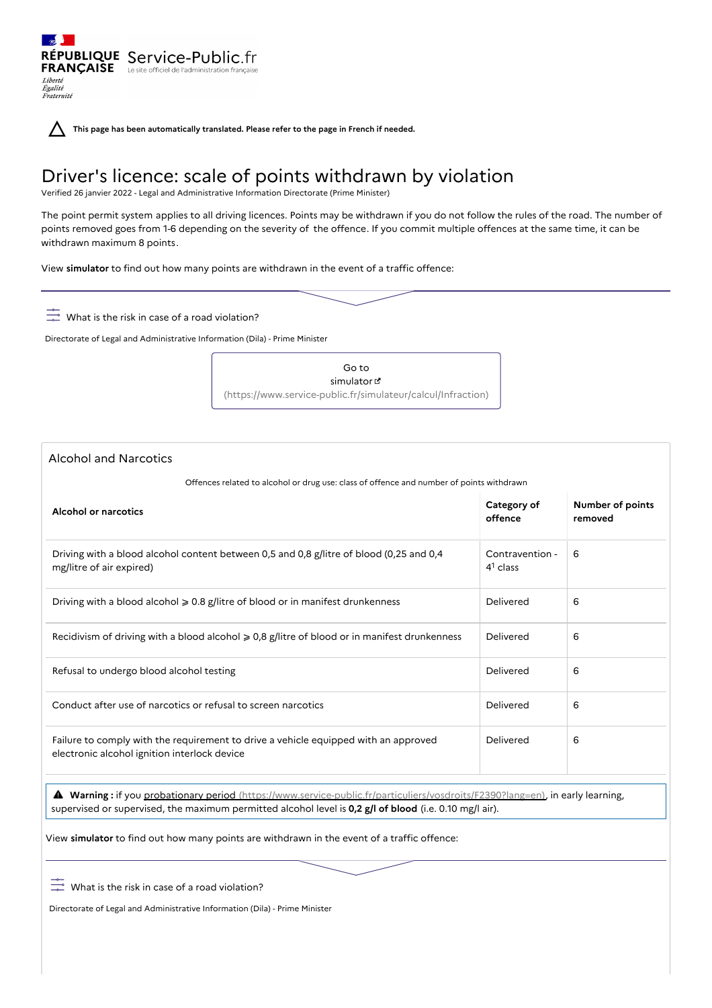RÉPUBLIQUE Service-Public.fr **FRANÇAISE** Le site officiel de l'administration fran Liberté Égalité<br>Fraternité

**This page has been automatically translated. Please refer to the page in French if needed.**

# Driver's licence: scale of points withdrawn by violation

Verified 26 janvier 2022 - Legal and Administrative Information Directorate (Prime Minister)

The point permit system applies to all driving licences. Points may be withdrawn if you do not follow the rules of the road. The number of points removed goes from 1-6 depending on the severity of the offence. If you commit multiple offences at the same time, it can be withdrawn maximum 8 points.

View **simulator** to find out how many points are withdrawn in the event of a traffic offence:

 $\frac{\infty}{\sqrt{2}}$  What is the risk in case of a road violation?

Directorate of Legal and Administrative Information (Dila) - Prime Minister

Go to simulator<sup>d</sup> [\(https://www.service-public.fr/simulateur/calcul/Infraction\)](https://www.service-public.fr/simulateur/calcul/Infraction)

# Alcohol and Narcotics

Offences related to alcohol or drug use: class of offence and number of points withdrawn

| <b>Alcohol or narcotics</b>                                                                                                         | Category of<br>offence        | Number of points<br>removed |
|-------------------------------------------------------------------------------------------------------------------------------------|-------------------------------|-----------------------------|
| Driving with a blood alcohol content between 0,5 and 0,8 g/litre of blood (0,25 and 0,4<br>mg/litre of air expired)                 | Contravention -<br>$41$ class | 6                           |
| Driving with a blood alcohol $\geqslant 0.8$ g/litre of blood or in manifest drunkenness                                            | Delivered                     | 6                           |
| Recidivism of driving with a blood alcohol $\geq 0.8$ g/litre of blood or in manifest drunkenness                                   | Delivered                     | 6                           |
| Refusal to undergo blood alcohol testing                                                                                            | Delivered                     | 6                           |
| Conduct after use of narcotics or refusal to screen narcotics                                                                       | Delivered                     | 6                           |
| Failure to comply with the requirement to drive a vehicle equipped with an approved<br>electronic alcohol ignition interlock device | Delivered                     | 6                           |

 **Warning :** if you probationary period [\(https://www.service-public.fr/particuliers/vosdroits/F2390?lang=en\)](https://www.service-public.fr/particuliers/vosdroits/F2390?lang=en), in early learning, supervised or supervised, the maximum permitted alcohol level is **0,2 g/l of blood** (i.e. 0.10 mg/l air).

View **simulator** to find out how many points are withdrawn in the event of a traffic offence:

 $\frac{\infty}{\sqrt{2}}$  What is the risk in case of a road violation?

Directorate of Legal and Administrative Information (Dila) - Prime Minister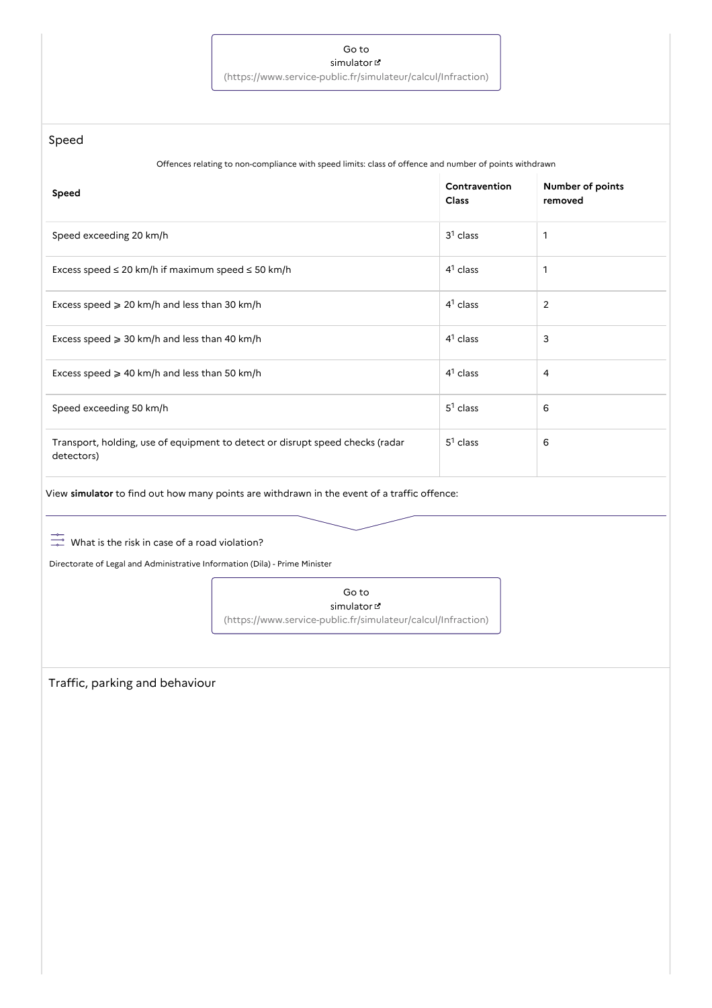## Go to simulator

[\(https://www.service-public.fr/simulateur/calcul/Infraction\)](https://www.service-public.fr/simulateur/calcul/Infraction)

Speed

Offences relating to non-compliance with speed limits: class of offence and number of points withdrawn

| Speed                                                                                       | Contravention<br><b>Class</b> | Number of points<br>removed |
|---------------------------------------------------------------------------------------------|-------------------------------|-----------------------------|
| Speed exceeding 20 km/h                                                                     | $31$ class                    | 1                           |
| Excess speed $\leq 20$ km/h if maximum speed $\leq 50$ km/h                                 | $41$ class                    | 1                           |
| Excess speed $\geq 20$ km/h and less than 30 km/h                                           | $41$ class                    | $\overline{2}$              |
| Excess speed $\geq 30$ km/h and less than 40 km/h                                           | $41$ class                    | 3                           |
| Excess speed $\geq 40$ km/h and less than 50 km/h                                           | $41$ class                    | 4                           |
| Speed exceeding 50 km/h                                                                     | $5^1$ class                   | 6                           |
| Transport, holding, use of equipment to detect or disrupt speed checks (radar<br>detectors) | $51$ class                    | 6                           |

View **simulator** to find out how many points are withdrawn in the event of a traffic offence:

 $\frac{\infty}{\sqrt{2}}$  What is the risk in case of a road violation?

Directorate of Legal and Administrative Information (Dila) - Prime Minister

Go to simulator [\(https://www.service-public.fr/simulateur/calcul/Infraction\)](https://www.service-public.fr/simulateur/calcul/Infraction)

Traffic, parking and behaviour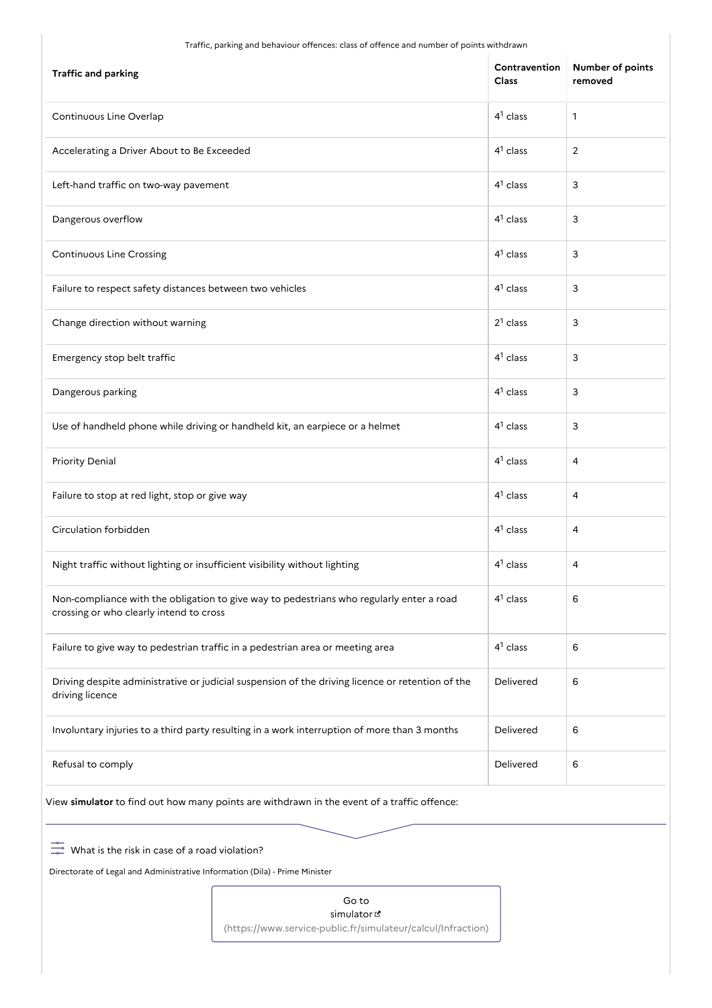Traffic, parking and behaviour offences: class of offence and number of points withdrawn

| <b>Traffic and parking</b>                                                                                                          | Contravention<br>Class | Number of points<br>removed |
|-------------------------------------------------------------------------------------------------------------------------------------|------------------------|-----------------------------|
| Continuous Line Overlap                                                                                                             | $41$ class             | $\mathbf{1}$                |
| Accelerating a Driver About to Be Exceeded                                                                                          | $41$ class             | 2                           |
| Left-hand traffic on two-way pavement                                                                                               | $41$ class             | 3                           |
| Dangerous overflow                                                                                                                  | $41$ class             | 3                           |
| Continuous Line Crossing                                                                                                            | $41$ class             | 3                           |
| Failure to respect safety distances between two vehicles                                                                            | $41$ class             | 3                           |
| Change direction without warning                                                                                                    | $21$ class             | 3                           |
| Emergency stop belt traffic                                                                                                         | $41$ class             | 3                           |
| Dangerous parking                                                                                                                   | $41$ class             | 3                           |
| Use of handheld phone while driving or handheld kit, an earpiece or a helmet                                                        | $41$ class             | 3                           |
| <b>Priority Denial</b>                                                                                                              | $41$ class             | $\overline{4}$              |
| Failure to stop at red light, stop or give way                                                                                      | $41$ class             | $\overline{4}$              |
| Circulation forbidden                                                                                                               | $41$ class             | $\overline{4}$              |
| Night traffic without lighting or insufficient visibility without lighting                                                          | $41$ class             | $\overline{4}$              |
| Non-compliance with the obligation to give way to pedestrians who regularly enter a road<br>crossing or who clearly intend to cross | $41$ class             | 6                           |
| Failure to give way to pedestrian traffic in a pedestrian area or meeting area                                                      | $41$ class             | 6                           |
| Driving despite administrative or judicial suspension of the driving licence or retention of the<br>driving licence                 | Delivered              | 6                           |
| Involuntary injuries to a third party resulting in a work interruption of more than 3 months                                        | Delivered              | 6                           |
| Refusal to comply                                                                                                                   | Delivered              | 6                           |
| View simulator to find out how many points are withdrawn in the event of a traffic offence:                                         |                        |                             |

 $\frac{\infty}{\infty}$  What is the risk in case of a road violation?

Directorate of Legal and Administrative Information (Dila) - Prime Minister

Go to simulator [\(https://www.service-public.fr/simulateur/calcul/Infraction\)](https://www.service-public.fr/simulateur/calcul/Infraction)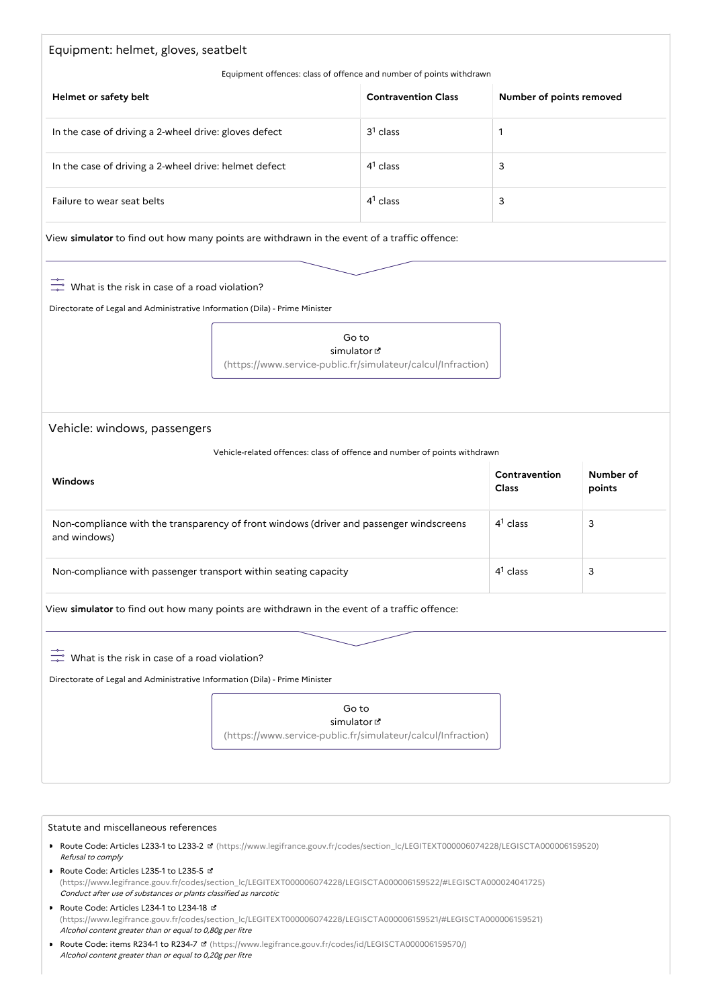# Equipment: helmet, gloves, seatbelt

#### Equipment offences: class of offence and number of points withdrawn

| Helmet or safety belt                                 | <b>Contravention Class</b> | Number of points removed |
|-------------------------------------------------------|----------------------------|--------------------------|
| In the case of driving a 2-wheel drive: gloves defect | $31$ class                 |                          |
| In the case of driving a 2-wheel drive: helmet defect | $4^1$ class                | 3                        |
| Failure to wear seat belts                            | $41$ class                 | 3                        |

View **simulator** to find out how many points are withdrawn in the event of a traffic offence:

 $\frac{1}{2}$  What is the risk in case of a road violation?

Directorate of Legal and Administrative Information (Dila) - Prime Minister

Go to simulator<sup>e</sup> [\(https://www.service-public.fr/simulateur/calcul/Infraction\)](https://www.service-public.fr/simulateur/calcul/Infraction)

Vehicle: windows, passengers

| Vehicle-related offences: class of offence and number of points withdrawn                               |                        |                     |  |
|---------------------------------------------------------------------------------------------------------|------------------------|---------------------|--|
| <b>Windows</b>                                                                                          | Contravention<br>Class | Number of<br>points |  |
| Non-compliance with the transparency of front windows (driver and passenger windscreens<br>and windows) | $41$ class             | 3                   |  |
| Non-compliance with passenger transport within seating capacity                                         | $4^1$ class            | 3                   |  |

View **simulator** to find out how many points are withdrawn in the event of a traffic offence:

 $\frac{1}{2}$  What is the risk in case of a road violation?

Directorate of Legal and Administrative Information (Dila) - Prime Minister

Go to simulator

[\(https://www.service-public.fr/simulateur/calcul/Infraction\)](https://www.service-public.fr/simulateur/calcul/Infraction)

#### Statute and miscellaneous references

- ▶ Route Code: Articles L233-1 to L233-2 **d'** [\(https://www.legifrance.gouv.fr/codes/section\\_lc/LEGITEXT000006074228/LEGISCTA000006159520\)](https://www.legifrance.gouv.fr/codes/section_lc/LEGITEXT000006074228/LEGISCTA000006159520) Refusal to comply
- Route Code: Articles L235-1 to L235-5 [\(https://www.legifrance.gouv.fr/codes/section\\_lc/LEGITEXT000006074228/LEGISCTA000006159522/#LEGISCTA000024041725\)](https://www.legifrance.gouv.fr/codes/section_lc/LEGITEXT000006074228/LEGISCTA000006159522/#LEGISCTA000024041725) Conduct after use of substances or plants classified as narcotic
- Route Code: Articles L234-1 to L234-18 [\(https://www.legifrance.gouv.fr/codes/section\\_lc/LEGITEXT000006074228/LEGISCTA000006159521/#LEGISCTA000006159521\)](https://www.legifrance.gouv.fr/codes/section_lc/LEGITEXT000006074228/LEGISCTA000006159521/#LEGISCTA000006159521) Alcohol content greater than or equal to 0,80g per litre
- Route Code: items R234-1 to R234-7 **¤** [\(https://www.legifrance.gouv.fr/codes/id/LEGISCTA000006159570/\)](https://www.legifrance.gouv.fr/codes/id/LEGISCTA000006159570/) Alcohol content greater than or equal to 0,20g per litre